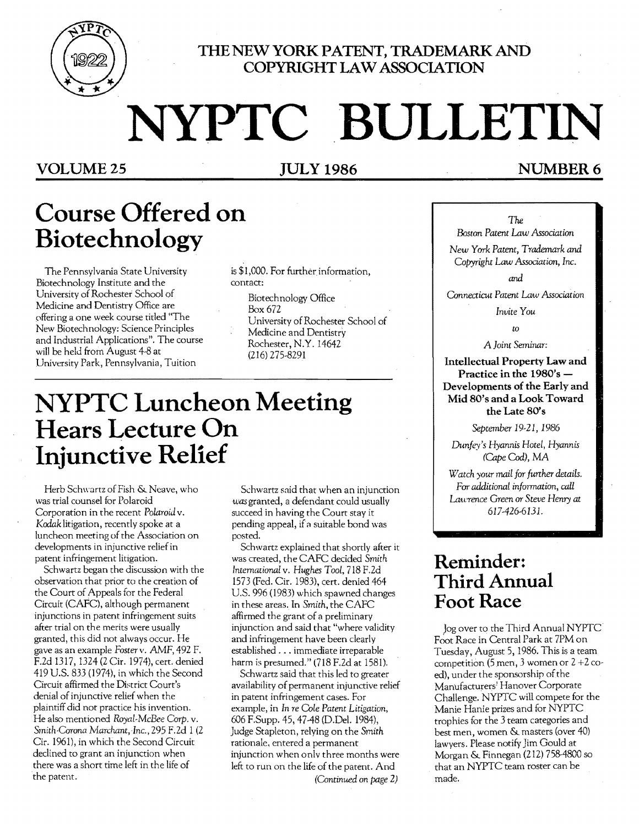

### **mENEW YORK PATENT, TRADEMARK AND COPYRIGHT LAW ASSOCIATION**

# NYPTC BULLETIN

### VOLUME 25 JULY 1986 NUMBER 6

# **Course Offered on Biotechnology**

The Pennsylvania State University is \$1,000. For further information,<br>otechnology Institute and the contact: Biotechnology Institute and the University of Rochester School of Biotechnology Office<br>Medicine and Dentistry Office are Box 672 Medicine and Dentistry Office are<br>offering a one week course titled "The offering a one week course titled "The University of Rochester School of<br>New Biotechnology: Science Principles Medicine and Dentistry and Industrial Applications". The course Rochester, N.Y. 14642<br>will be held from August 4-8 at (216) 275-8291 will be held from August 4-8 at University Park, Pennsylvania, Tuition

# **NYPTC Luncheon Meeting Hears Lecture On Injunctive Relief**

Herb Schwartz of Fish & Neave, who Schwartz said that when an injunction was trial counsel for Polaroid  $was$  granted, a defendant could usually Corporation in the recent *Polaroid* v. succeed in having the Court stay it Kodak litigation, recently spoke at a state of pending appeal, if a suitable bond was luncheon meeting of the Association on posted. developments in injunctive relief in patent infringement litigation.

Schwartz began the discussion with the observation that prior to the creation of the Court of Appeals for the Federal Circuit (CAFC), although permanent injunctions in patent infringement suits after trial on the merits were usually granted, this did not always occur. He gave as an example *Fosterv.* AMF, 492 F. E2d 1317, 1324 (2 Cir. 1974), cert. denied 419 U.S. 833 (1974), in which the Second Circuit affirmed the District Court's denial of injunctive relief when the plaintiff did not practice his invention. He also mentioned *Royal-McBee Carp.* v. *Smith-Corona Marchant, Inc..* 295 F.2d 1 (2 Cir. 1961), in which the Second Circuit declined to grant an injunction when there was a short time left in the life of the patent.

was granted, a defendant could usually

Schwartz explained that shortly after it was created, the CAFC decided *Smith Intemational* v. *Hughes Tool,* 718 E2d 1573 (Fed. Cir. 1983), cert. denied 464 U.S. 996 (1983) which spawned changes in these areas. In *Smith.* the CAFC affirmed the grant of a preliminary injunction and said that "where validity and infringement have been clearly established ... immediate irreparable harm is presumed." (718 F.2d at 1581).

Schwartz said that this led to greater availability of permanent injunctive relief in patent infringement cases. For example, in *In re Cole Patent Litigation,*  606 F.Supp. 45, 47-48 (D.Del. 1984), Judge Stapleton, relying on the *Smith*  rationale. entered a permanent injunction when only three months were left to run on the life of the patent. And *(Continued* on *page 2)* 

### The

*Boston Patent Law Association* 

*New Yark Patent, Trademark and Copyright Law Association, Inc.* 

*and* 

*Connecticut Patent Law Association* 

*Invite You* 

*to* 

A *Joint Seminar:* 

Intellectual Property Law and Practice in the 1980's Developments of the Early and Mid 80's and a Look Toward the Late 80's

*September* 19-21, 1986

*Dunfey's Hyannis Hotel, Hyannis (Cape Cod),* MA

*Watch your mail for further details.* For *additional information, call Lawrence Green* or *Steve Henry at* 617-426-6131.

### **Reminder: Third Annual Foot Race**

Jog over to the Third Annual NYPTC Foot Race in Central Park at 7PM on Tuesday, August 5,1986. This is a team competition (5 men, 3 women or  $2 + 2$  coed), under the sponsorship of the Manufacturers; Hanover Corporate Challenge. NYPTC will compere for the Manie Hanie prizes and for NYPTC trophies for the 3 team categories and best men, women & masters (over 40) lawyers. Please notify Jim Gould at Morgan & Finnegan (212) 758-4800 so that an NYPTC team roster can be made.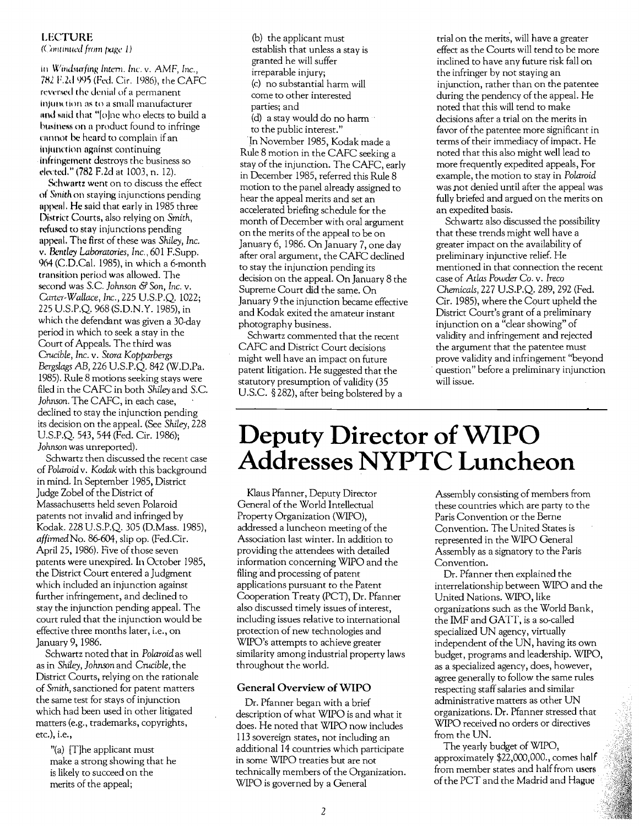#### **LECTURE**

(Continued from page 1)

in Windsurfing Intern. Inc. v. AMF, Inc., 782 F.2d 995 (Fed. Cir. 1986), the CAFC reversed the denial of a permanent injunction as to a small manufacturer and said that "[o]ne who elects to build a business on a product found to infringe cannot be heard to complain if an injunction against continuing infringement destroys the business so elected." (782 F.2d at 1003, n. 12).

Schwartz went on to discuss the effect of Smith on staying injunctions pending appeal. He said that early in 1985 three District Courts, also relying on Smith, refused to stay injunctions pending appeal. The first of these was Shiley, Inc. v. Bentley Laboratories, Inc., 601 F.Supp. 964 (C.D.Cal. 1985), in which a 6-month transition period was allowed. The second was S.C. Johnson & Son, Inc. v. Carter-Wallace, Inc., 225 U.S.P.O. 1022; 225 U.S.P.Q. 968 (S.D.N.Y. 1985), in which the defendant was given a 30-day period in which to seek a stay in the Court of Appeals. The third was Crucible, Inc. v. Stora Kopparbergs Bergslags AB, 226 U.S.P.O. 842 (W.D.Pa. 1985). Rule 8 motions seeking stays were filed in the CAFC in both Shiley and S.C. Johnson. The CAFC, in each case, declined to stay the injunction pending its decision on the appeal. (See Shiley, 228 U.S.P.Q. 543, 544 (Fed. Cir. 1986); Johnson was unreported).

Schwartz then discussed the recent case of Polaroid v. Kodak with this background in mind. In September 1985, District Judge Zobel of the District of Massachusetts held seven Polaroid patents not invalid and infringed by Kodak. 228 U.S.P.Q. 305 (D.Mass. 1985), affirmed No. 86-604, slip op. (Fed.Cir. April 25, 1986). Five of those seven patents were unexpired. In October 1985, the District Court entered a Judgment which included an injunction against further infringement, and declined to stay the injunction pending appeal. The court ruled that the injunction would be effective three months later, i.e., on January 9, 1986.

Schwartz noted that in Polaroid as well as in Shiley, Johnson and Crucible, the District Courts, relying on the rationale of Smith, sanctioned for patent matters the same test for stays of injunction which had been used in other litigated matters (e.g., trademarks, copyrights, etc.), i.e.,

"(a) [T]he applicant must make a strong showing that he is likely to succeed on the merits of the appeal;

(b) the applicant must establish that unless a stay is granted he will suffer irreparable injury; (c) no substantial harm will come to other interested parties; and (d) a stay would do no harm to the public interest."

In November 1985, Kodak made a Rule 8 motion in the CAFC seeking a stay of the injunction. The CAFC, early in December 1985, referred this Rule 8 motion to the panel already assigned to hear the appeal merits and set an accelerated briefing schedule for the month of December with oral argument on the merits of the appeal to be on January 6, 1986. On January 7, one day after oral argument, the CAFC declined to stay the injunction pending its decision on the appeal. On January 8 the Supreme Court did the same. On January 9 the injunction became effective and Kodak exited the amateur instant photography business.

Schwartz commented that the recent CAFC and District Court decisions might well have an impact on future patent litigation. He suggested that the statutory presumption of validity (35 U.S.C. §282), after being bolstered by a

trial on the merits, will have a greater effect as the Courts will tend to be more inclined to have any future risk fall on the infringer by not staying an injunction, rather than on the patentee during the pendency of the appeal. He noted that this will tend to make decisions after a trial on the merits in favor of the patentee more significant in terms of their immediacy of impact. He noted that this also might well lead to more frequently expedited appeals, For example, the motion to stay in Polaroid was not denied until after the appeal was fully briefed and argued on the merits on an expedited basis.

Schwartz also discussed the possibility that these trends might well have a greater impact on the availability of preliminary injunctive relief. He mentioned in that connection the recent case of Atlas Powder Co. v. Ireco Chemicals, 227 U.S.P.Q. 289, 292 (Fed. Cir. 1985), where the Court upheld the District Court's grant of a preliminary injunction on a "clear showing" of validity and infringement and rejected the argument that the patentee must prove validity and infringement "beyond question" before a preliminary injunction will issue.

## Deputy Director of WIPO Addresses NYPTC Luncheon

Klaus Pfanner, Deputy Director General of the World Intellectual Property Organization (WIPO), addressed a luncheon meeting of the Association last winter. In addition to providing the attendees with detailed information concerning WIPO and the filing and processing of patent applications pursuant to the Patent Cooperation Treaty (PCT), Dr. Pfanner also discussed timely issues of interest, including issues relative to international protection of new technologies and WIPO's attempts to achieve greater similarity among industrial property laws throughout the world.

#### General Overview of WIPO

Dr. Pfanner began with a brief description of what WIPO is and what it does. He noted that WIPO now includes 113 sovereign states, not including an additional 14 countries which participate in some WIPO treaties but are not technically members of the Organization. WIPO is governed by a General

Assembly consisting of members from these countries which are party to the Paris Convention or the Berne Convention. The United States is represented in the WIPO General Assembly as a signatory to the Paris Convention.

Dr. Pfanner then explained the interrelationship between WIPO and the United Nations. WIPO, like organizations such as the World Bank, the IMF and GATT, is a so-called specialized UN agency, virtually independent of the UN, having its own budget, programs and leadership. WIPO, as a specialized agency, does, however, agree generally to follow the same rules respecting staff salaries and similar administrative matters as other UN organizations. Dr. Pfanner stressed that WIPO received no orders or directives from the UN.

The yearly budget of WIPO, approximately \$22,000,000., comes half from member states and half from users of the PCT and the Madrid and Hague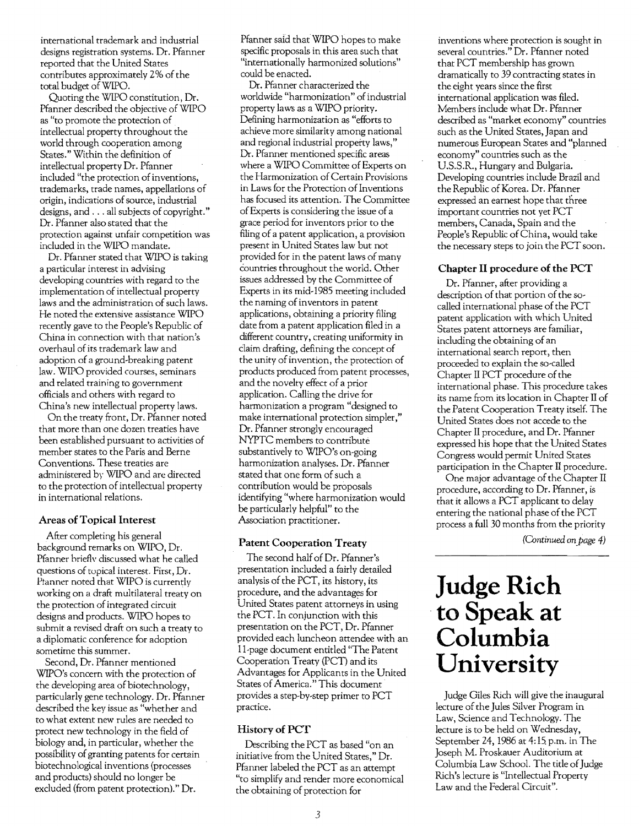international trademark and industrial designs registration systems. Dr. Pfanner reported that the United States contributes approximately 2% of the total budget ofWIPO.

Quoting the WIPO constitution, Dr. Pfanner described the objective of WIPO as "to promote the protection of intellectual property throughout the world through cooperation among States." Within the definition of intellectual property Dr. Pfanner included "the protection of inventions, trademarks, trade names, appellations of origin, indications of source, industrial designs, and ... all subjects of copyright." Dr. Pfanner also stated that the protection against unfair competition was included in the WIPO mandate.

Dr. Pfanner stated that WIPO is taking a particular interest in advising developing countries with regard to the implementation of intellectual property laws and the administration of such laws. He noted the extensive assistance WIPO recently gave to the People's Republic of China in connection with that nation's overhaul of its trademark law and adoption of a ground-breaking patent law. WIPO provided courses, seminars and related training to government officials and others with regard to China's new intellectual property laws.

On the treaty front, Dr. Pfanner noted that more than one dozen treaties have been established pursuant to activities of member states to the Paris and Berne Conventions. These treaties are administered by WIPO and are directed to the protection of intellectual property in international relations.

#### **Areas of Topical Interest**

After completing his general background remarks on WIPO, Dr. Pfanner hrieflv discussed what he called questions of topical interest. First, Dr. Ptanner noted that WIPO is currently working on a draft multilateral treaty on the protection of integrated circuit designs and products. WIPO hopes to submit a revised draft on such a treaty to a diplomatic conference for adoption sometime this summer.

Second, Dr. Pfanner mentioned WIPO's concern with the protection of the developing area of biotechnology, particularly gene technology. Dr. Pfanner described the key issue as "whether and to what extent new rules are needed to protect new technology in the field of biology and, in particular, whether the possibility of granting patents for certain biotechnological inventions (processes and products) should no longer be excluded (from patent protection)." Dr.

Pfanner said that WIPO hopes to make specific proposals in this area such that "internationally harmonized solutions" could be enacted.

Dr. Pfanner characterized the worldwide "harmonization" of industrial property laws as a WIPO priority. Defining harmonization as "efforts to achieve more similarity among national and regional industrial property laws," Dr. Pfanner mentioned specific areas where a WIPO Committee of Experts on the Harmonization of Certain Provisions in Laws for the Protection ofInventions has focused its attention. The Committee ofExperts is considering the issue of a grace period for inventors prior to the filing of a patent application, a provision present in United States law but not provided for in the patent laws of many countries throughout the world. Other issues addressed by the Commirtee of Experts in its mid-I985 meeting included the naming of inventors in patent applications, obtaining a priority filing date from a patent application filed in a different country, creating uniformity in daim drafting, defining the concept of the unity of invention, the protection of products produced from patent processes, and the novelty effect of a prior application. Calling the drive for harmonization a program "designed to make international protection simpler," Dr. Pfanner strongly encouraged NYPTC members to contribute substantively to WIPO's on-going harmonization analyses. Dr. Pfanner stated that one form of such a contribution would be proposals identifying "where harmonization would be particularly helpful" to the Association practitioner.

#### **Patent Cooperation Treaty**

The second half of Dr. Pfanner's presentation included a fairly detailed analysis of the PCT, its history, its procedure, and the advantages for United States patent attorneys in using the PCT. In conjunction with this presentation on the PCT, Dr. Pfanner provided each luncheon attendee with an II-page document entitled "The Patent Cooperation Treaty (PCT) and its Advantages for Applicants in the United States of America." This document· provides a step-by-step primer to PCT practice.

#### **History of PCT**

Describing the PCT as based "on an initiative from the United States," Dr. Pfanner labeled the PCT as an attempt "to simplify and render more economical the obtaining of protection for

inventions where protection is sought in several countries." Dr. Pfanner noted that PCT membership has grown dramatically to 39 contracting states in the eight years since the first international application was filed. Members include what Dr. Pfanner described as "market economy" countries such as the United States, Japan and numerous European States and "planned economy" countries such as the U.S.S.R., Hungary and Bulgaria. Developing countries include Brazil and the Republic of Korea. Dr. Pfanner expressed an earnest hope that three important countries not yet PCT members, Canada, Spain and the People's Republic of China, would take the necessary steps to join the PCT soon.

#### **Chapter II procedure of the PCT**

Dr. Pfanner, after providing a description of that portion of the socalled international phase of the PCT patent application with which United States patent attorneys are familiar, including the obtaining of an international search report, then proceeded to explain the so-called Chapter II PCT procedure of the international phase. This procedure takes its name from its location in Chapter II of the Patent Cooperation Treaty itself. The United States does not accede to the Chapter II procedure, and Dr. Pfanner expressed his hope that the United States Congress would permit United States participation in the Chapter II procedure.

One major advantage of the Chapter II procedure, according to Dr. Pfanner, is that it allows a PCT applicant to delay entering the national phase of the PCT process a full 30 months from the priority

*(Continued on.page 4)* 

## **Judge Rich ·to** Speak at **Columbia University**

Judge Giles Rich will give the inaugural lecture of the Jules Silver Program in Law, Science and Technology. The lecture is to be held on Wednesday, September 24, 1986 at 4: 15. p.m. in The Joseph M. Proskauer Auditorium at Columbia Law School. The title of Judge Rich's lecture is "Intellectual Property Law and the Federal Circuit".